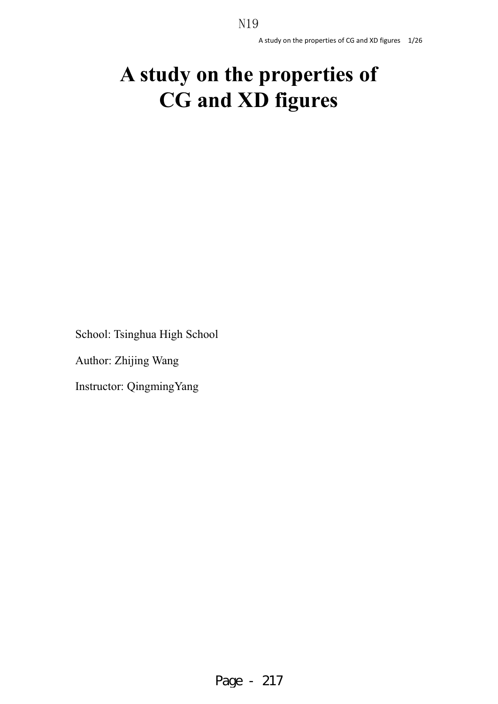# **A study on the properties of CG and XD figures**

School: Tsinghua High School

Author: Zhijing Wang

Instructor: QingmingYang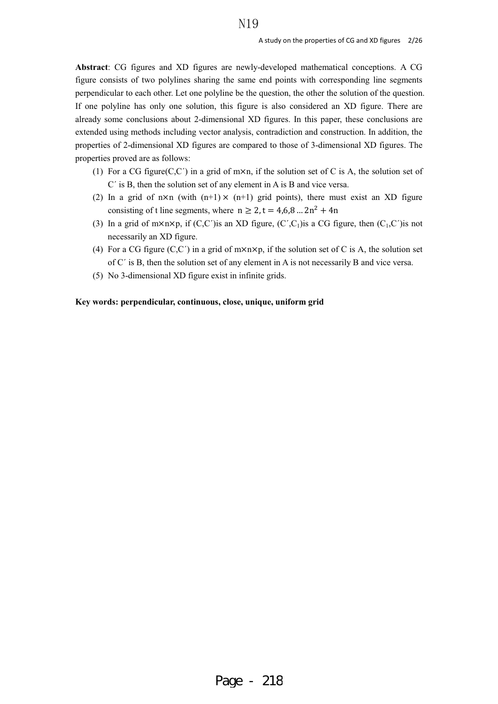**Abstract**: CG figures and XD figures are newly-developed mathematical conceptions. A CG figure consists of two polylines sharing the same end points with corresponding line segments perpendicular to each other. Let one polyline be the question, the other the solution of the question. If one polyline has only one solution, this figure is also considered an XD figure. There are already some conclusions about 2-dimensional XD figures. In this paper, these conclusions are extended using methods including vector analysis, contradiction and construction. In addition, the properties of 2-dimensional XD figures are compared to those of 3-dimensional XD figures. The properties proved are as follows:

- (1) For a CG figure( $C, C'$ ) in a grid of m $\times n$ , if the solution set of C is A, the solution set of C´ is B, then the solution set of any element in A is B and vice versa.
- (2) In a grid of  $n \times n$  (with  $(n+1) \times (n+1)$  grid points), there must exist an XD figure consisting of t line segments, where  $n \ge 2$ ,  $t = 4.6,8... 2n^2 + 4n$
- (3) In a grid of m×n×p, if  $(C, C')$ is an XD figure,  $(C', C_1)$ is a CG figure, then  $(C_1, C')$ is not necessarily an XD figure.
- (4) For a CG figure  $(C, C')$  in a grid of  $m \times n \times p$ , if the solution set of C is A, the solution set of C´ is B, then the solution set of any element in A is not necessarily B and vice versa.
- (5) No 3-dimensional XD figure exist in infinite grids.

#### **Key words: perpendicular, continuous, close, unique, uniform grid**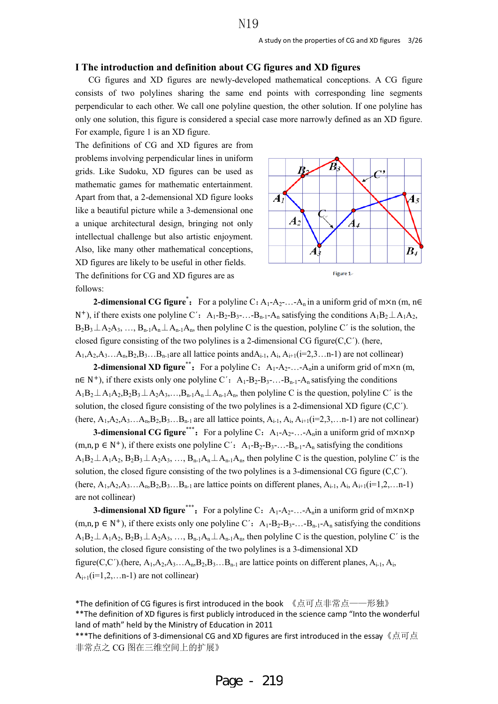#### **I The introduction and definition about CG figures and XD figures**

CG figures and XD figures are newly-developed mathematical conceptions. A CG figure consists of two polylines sharing the same end points with corresponding line segments perpendicular to each other. We call one polyline question, the other solution. If one polyline has only one solution, this figure is considered a special case more narrowly defined as an XD figure. For example, figure 1 is an XD figure.

The definitions of CG and XD figures are from problems involving perpendicular lines in uniform grids. Like Sudoku, XD figures can be used as mathematic games for mathematic entertainment. Apart from that, a 2-demensional XD figure looks like a beautiful picture while a 3-demensional one a unique architectural design, bringing not only intellectual challenge but also artistic enjoyment. Also, like many other mathematical conceptions, XD figures are likely to be useful in other fields. The definitions for CG and XD figures are as follows:



**2-dimensional CG figure<sup>\*</sup>:** For a polyline C:  $A_1$ - $A_2$ -...- $A_n$  in a uniform grid of m×n (m, n∈ N<sup>+</sup>), if there exists one polyline C': A<sub>1</sub>-B<sub>2</sub>-B<sub>3</sub>-...-B<sub>n-1</sub>-A<sub>n</sub> satisfying the conditions  $A_1B_2 \perp A_1A_2$ ,  $B_2B_3\perp A_2A_3, \ldots, B_{n-1}A_n\perp A_{n-1}A_n$ , then polyline C is the question, polyline C' is the solution, the closed figure consisting of the two polylines is a 2-dimensional CG figure(C,C´). (here,  $A_1, A_2, A_3, \ldots, A_n, B_2, B_3, \ldots, B_{n-1}$  are all lattice points and  $A_{i-1}, A_i, A_{i+1}$  (i=2,3…n-1) are not collinear)

**2-dimensional XD figure<sup>\*\*</sup>**: For a polyline C:  $A_1-A_2$ -...- $A_n$ in a uniform grid of m×n (m,  $n \in \mathbb{N}^+$ , if there exists only one polyline C':  $A_1 - B_2 - B_3 - \ldots - B_{n-1} - A_n$  satisfying the conditions  $A_1B_2 \perp A_1A_2B_2B_3 \perp A_2A_3,...,B_{n-1}A_n \perp A_{n-1}A_n$ , then polyline C is the question, polyline C' is the solution, the closed figure consisting of the two polylines is a 2-dimensional XD figure (C,C´). (here,  $A_1, A_2, A_3, \ldots, A_n, B_2, B_3, \ldots, B_{n-1}$  are all lattice points,  $A_{i-1}, A_i, A_{i+1}$ (i=2,3,...n-1) are not collinear)

**3-dimensional CG figure\*\*\***: For a polyline C:  $A_1 - A_2 - \ldots - A_n$  in a uniform grid of  $m \times n \times p$  $(m,n,p \in N^+)$ , if there exists one polyline C':  $A_1-B_2-B_3$ -...- $B_{n-1}-A_n$  satisfying the conditions  $A_1B_2 \perp A_1A_2$ ,  $B_2B_3 \perp A_2A_3$ , …,  $B_{n-1}A_n \perp A_{n-1}A_n$ , then polyline C is the question, polyline C' is the solution, the closed figure consisting of the two polylines is a 3-dimensional CG figure (C,C´). (here,  $A_1, A_2, A_3, \ldots, A_n, B_2, B_3, \ldots, B_{n-1}$  are lattice points on different planes,  $A_{i-1}, A_i, A_{i+1}$ (i=1,2,...n-1) are not collinear)

**3-dimensional XD figure\*\*\***: For a polyline C:  $A_1-A_2$ -...- $A_n$ in a uniform grid of m×n×p  $(m,n,p \in N^+)$ , if there exists only one polyline C':  $A_1-B_2-B_3$ -...-B<sub>n-1</sub>-A<sub>n</sub> satisfying the conditions  $A_1B_2 \perp A_1A_2$ ,  $B_2B_3 \perp A_2A_3$ , …,  $B_{n-1}A_n \perp A_{n-1}A_n$ , then polyline C is the question, polyline C' is the solution, the closed figure consisting of the two polylines is a 3-dimensional XD figure(C,C´).(here,  $A_1, A_2, A_3, \ldots, A_n, B_2, B_3, \ldots, B_{n-1}$  are lattice points on different planes,  $A_{i-1}, A_i$ ,  $A_{i+1}$ ( $i=1,2,...$ n-1) are not collinear)

\*The definition of CG figures is first introduced in the book 《点可点非常点——形独》 \*\*The definition of XD figures is first publicly introduced in the science camp "Into the wonderful land of math" held by the Ministry of Education in 2011

 $**$ \*The definitions of 3-dimensional CG and XD figures are first introduced in the essay  $\sqrt{a}$   $\vec{a}$   $\vec{a}$ 非常点之 CG 图在三维空间上的扩展》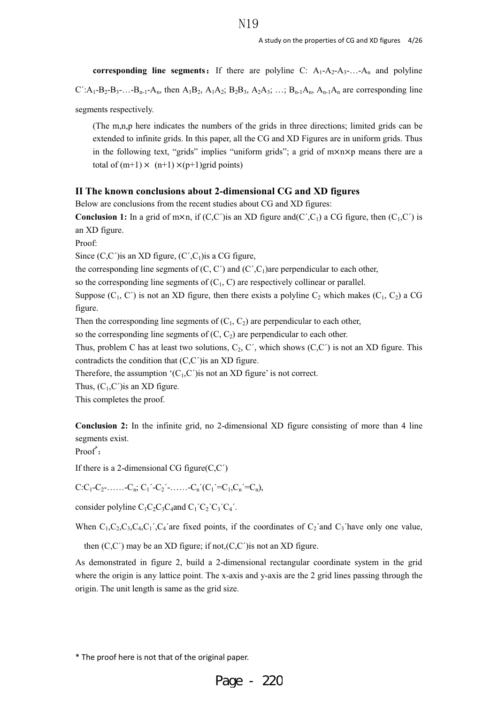**corresponding line segments:** If there are polyline C:  $A_1$ - $A_2$ - $A_3$ -...- $A_n$  and polyline  $C':$   $A_1-B_2-B_3-...-B_{n-1}-A_n$ , then  $A_1B_2$ ,  $A_1A_2$ ;  $B_2B_3$ ,  $A_2A_3$ ; …;  $B_{n-1}A_n$ ,  $A_{n-1}A_n$  are corresponding line segments respectively.

(The m,n,p here indicates the numbers of the grids in three directions; limited grids can be extended to infinite grids. In this paper, all the CG and XD Figures are in uniform grids. Thus in the following text, "grids" implies "uniform grids"; a grid of  $m \times n \times p$  means there are a total of  $(m+1) \times (n+1) \times (p+1)$ grid points)

## **II The known conclusions about 2-dimensional CG and XD figures**

Below are conclusions from the recent studies about CG and XD figures:

**Conclusion 1:** In a grid of m×n, if  $(C,C)$  is an XD figure and  $(C',C_1)$  a CG figure, then  $(C_1,C')$  is an XD figure.

Proof:

Since  $(C, C')$ is an XD figure,  $(C', C_1)$ is a CG figure,

the corresponding line segments of  $(C, C')$  and  $(C', C_1)$ are perpendicular to each other,

so the corresponding line segments of  $(C_1, C)$  are respectively collinear or parallel.

Suppose  $(C_1, C')$  is not an XD figure, then there exists a polyline  $C_2$  which makes  $(C_1, C_2)$  a CG figure.

Then the corresponding line segments of  $(C_1, C_2)$  are perpendicular to each other,

so the corresponding line segments of  $(C, C_2)$  are perpendicular to each other.

Thus, problem C has at least two solutions,  $C_2$ , C', which shows  $(C, C')$  is not an XD figure. This contradicts the condition that  $(C, C')$  is an XD figure.

Therefore, the assumption  $(C_1, C')$  is not an XD figure' is not correct.

Thus,  $(C_1, C')$  is an XD figure.

This completes the proof.

**Conclusion 2:** In the infinite grid, no 2-dimensional XD figure consisting of more than 4 line segments exist.

Proof<sup>\*</sup>:

If there is a 2-dimensional CG figure $(C, C')$ 

 $C:C_1-C_2-....-C_n; C_1'-C_2'-.....-C_n'(C_1'=C_1,C_n'=C_n),$ 

consider polyline  $C_1C_2C_3C_4$  and  $C_1^{\prime}C_2^{\prime}C_3^{\prime}C_4^{\prime}$ .

When  $C_1, C_2, C_3, C_4, C_1$ ',  $C_4$ 'are fixed points, if the coordinates of  $C_2$ 'and  $C_3$ 'have only one value,

then  $(C, C')$  may be an XD figure; if not, $(C, C')$  is not an XD figure.

As demonstrated in figure 2, build a 2-dimensional rectangular coordinate system in the grid where the origin is any lattice point. The x-axis and y-axis are the 2 grid lines passing through the origin. The unit length is same as the grid size.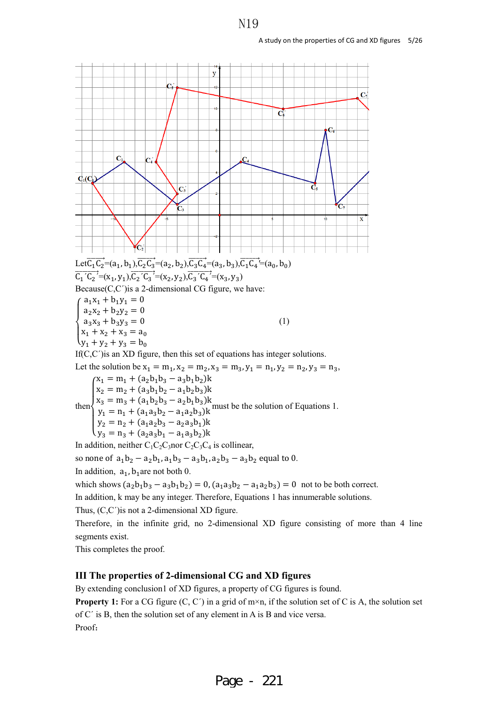

In addition,  $a_1, b_1$  are not both 0.

which shows  $(a_2b_1b_3 - a_3b_1b_2) = 0$ ,  $(a_1a_3b_2 - a_1a_2b_3) = 0$  not to be both correct.

In addition, k may be any integer. Therefore, Equations 1 has innumerable solutions.

Thus, (C,C´)is not a 2-dimensional XD figure.

Therefore, in the infinite grid, no 2-dimensional XD figure consisting of more than 4 line segments exist.

This completes the proof.

## **III The properties of 2-dimensional CG and XD figures**

By extending conclusion1 of XD figures, a property of CG figures is found.

**Property 1:** For a CG figure  $(C, C')$  in a grid of  $m \times n$ , if the solution set of C is A, the solution set of C´ is B, then the solution set of any element in A is B and vice versa. Proof: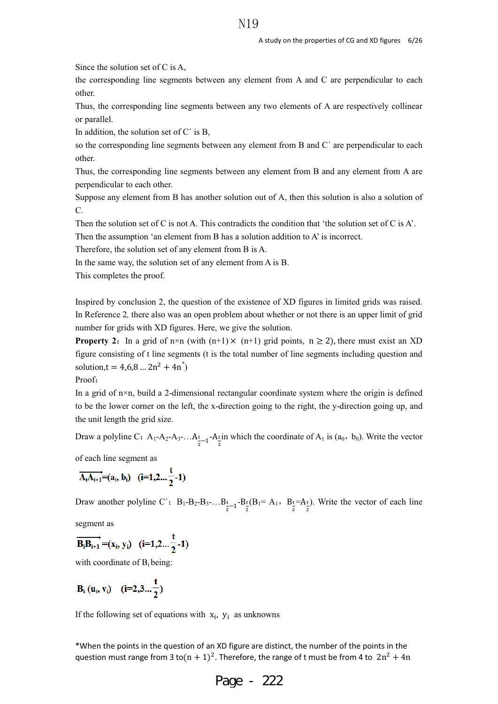Since the solution set of C is A,

the corresponding line segments between any element from A and C are perpendicular to each other.

Thus, the corresponding line segments between any two elements of A are respectively collinear or parallel.

In addition, the solution set of  $C'$  is  $B$ ,

so the corresponding line segments between any element from B and C' are perpendicular to each other.

Thus, the corresponding line segments between any element from B and any element from A are perpendicular to each other.

Suppose any element from B has another solution out of A, then this solution is also a solution of C.

Then the solution set of C is not A. This contradicts the condition that 'the solution set of C is A'.

Then the assumption 'an element from B has a solution addition to A' is incorrect.

Therefore, the solution set of any element from B is A.

In the same way, the solution set of any element from A is B.

This completes the proof.

Inspired by conclusion 2, the question of the existence of XD figures in limited grids was raised. In Reference 2*,* there also was an open problem about whether or not there is an upper limit of grid number for grids with XD figures. Here, we give the solution.

**Property 2:** In a grid of n×n (with  $(n+1) \times (n+1)$  grid points,  $n \ge 2$ ), there must exist an XD figure consisting of t line segments (t is the total number of line segments including question and solution,  $t = 4,6,8... 2n^2 + 4n^*$ 

Proof:

In a grid of  $n \times n$ , build a 2-dimensional rectangular coordinate system where the origin is defined to be the lower corner on the left, the x-direction going to the right, the y-direction going up, and the unit length the grid size.

Draw a polyline C: A<sub>1</sub>-A<sub>2</sub>-A<sub>3</sub>-...A<sub>t<sub>2</sub>-<sub>1</sub>-A<sub>t</sub>in which the coordinate of A<sub>1</sub> is (a<sub>0</sub>, b<sub>0</sub>). Write the vector</sub>

of each line segment as

$$
\overrightarrow{A_iA_{i+1}}=(a_i, b_i) \quad (i=1,2...{t \over 2}-1)
$$

Draw another polyline C':  $B_1 - B_2 - B_3 - \ldots B_{\frac{t}{2}-1} - B_{\frac{t}{2}}(B_1 = A_1, B_{\frac{t}{2}} - A_2)$ . Write the vector of each line

segment as

$$
\overrightarrow{B_iB_{i+1}} = (x_i, y_i) \quad (i=1,2... \frac{t}{2}-1)
$$

with coordinate of  $B_i$  being:

$$
B_i (u_i, v_i) \quad (i=2,3... \frac{t}{2})
$$

If the following set of equations with  $x_i$ ,  $y_i$  as unknowns

\*When the points in the question of an XD figure are distinct, the number of the points in the question must range from 3 to $(n + 1)^2$ . Therefore, the range of t must be from 4 to  $2n^2 + 4n$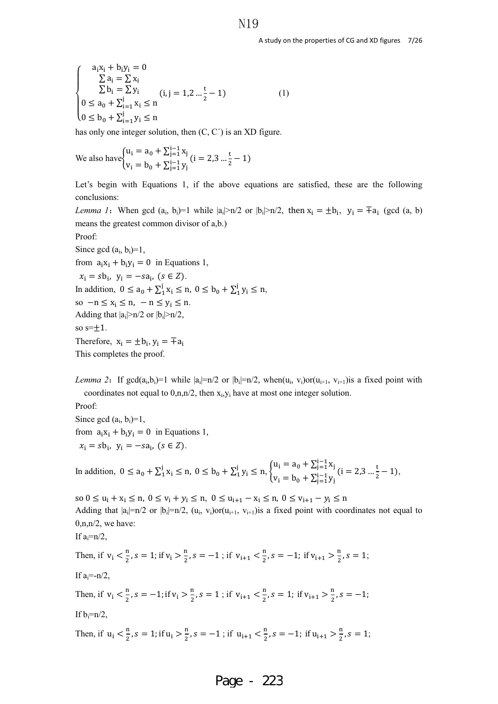$$
\begin{cases}\na_1x_1 + b_1y_1 = 0 \\
\sum a_i = \sum x_i \\
\sum b_i = \sum y_i \\
0 \le a_0 + \sum_{i=1}^j x_i \le n \\
0 \le b_0 + \sum_{i=1}^j y_i \le n\n\end{cases}
$$
\n(1)

has only one integer solution, then  $(C, C')$  is an XD figure.

We also have  $\begin{cases} u_i = a_0 + \sum_{j=1}^{i-1} x_j \\ v_j = v_0 \end{cases}$  $v_i = b_0 + \sum_{j=1}^{i-1} y_j$  $(i = 2, 3 \dots \frac{t}{2} - 1)$ 

Let's begin with Equations 1, if the above equations are satisfied, these are the following conclusions:

*Lemma 1*: When gcd (a<sub>i</sub>, b<sub>i</sub>)=1 while  $|a_i|>n/2$  or  $|b_i|>n/2$ , then  $x_i = \pm b_i$ ,  $y_i = \pm a_i$  (gcd (a, b) means the greatest common divisor of a,b.) Proof:

Since gcd  $(a_i, b_i)=1$ , from  $a_i x_i + b_i y_i = 0$  in Equations 1,  $x_i = s b_i$ ,  $y_i = -s a_i$ ,  $(s \in \mathbb{Z})$ . In addition,  $0 \le a_0 + \sum_{1}^{j} x_i \le n$ ,  $0 \le b_0 + \sum_{1}^{j} y_i \le n$ , so  $-n \le x_i \le n$ ,  $-n \le y_i \le n$ . Adding that  $|a_i|>n/2$  or  $|b_i|>n/2$ , so  $s=\pm 1$ . Therefore,  $x_i = \pm b_i$ ,  $y_i = \pm a_i$ This completes the proof.

*Lemma 2*: If gcd( $a_i, b_i$ )=1 while  $|a_i|=n/2$  or  $|b_i|=n/2$ , when( $u_i, v_i$ )or( $u_{i+1}, v_{i+1}$ ) is a fixed point with coordinates not equal to  $0, n, n/2$ , then  $x_i, y_i$  have at most one integer solution.

Proof: Since gcd  $(a_i, b_i)=1$ , from  $a_i x_i + b_i y_i = 0$  in Equations 1,  $x_i = s b_i$ ,  $y_i = -s a_i$ ,  $(s \in Z)$ .

In addition,  $0 \le a_0 + \sum_{i=1}^{j} x_i \le a_0$ ,  $0 \le b_0 + \sum_{i=1}^{j} y_i \le a_0$ ,  $\begin{cases} u_i = a_0 + \sum_{j=1}^{i-1} x_j \\ v_{i,j} = b_{i,j} \end{cases}$  $v_i = b_0 + \sum_{j=1}^{i-1} y_j$  $(i = 2, 3 \dots \frac{t}{2} - 1),$ 

so  $0 \le u_i + x_i \le n$ ,  $0 \le v_i + y_i \le n$ ,  $0 \le u_{i+1} - x_i \le n$ ,  $0 \le v_{i+1} - y_i \le n$ Adding that  $|a_i|=n/2$  or  $|b_i|=n/2$ ,  $(u_i, v_i)$ or $(u_{i+1}, v_{i+1})$  is a fixed point with coordinates not equal to  $0, n, n/2$ , we have: If  $a:=n/2$ , Then, if  $v_i < \frac{n}{2}$ ,  $s = 1$ ; if  $v_i > \frac{n}{2}$ ,  $s = -1$ ; if  $v_{i+1} < \frac{n}{2}$ ,  $s = -1$ ; if  $v_{i+1} > \frac{n}{2}$ ,  $s = 1$ ; If  $a=-n/2$ , Then, if  $v_i < \frac{n}{2}$ ,  $s = -1$ ; if  $v_i > \frac{n}{2}$ ,  $s = 1$ ; if  $v_{i+1} < \frac{n}{2}$ ,  $s = 1$ ; if  $v_{i+1} > \frac{n}{2}$ ,  $s = -1$ ; If  $b_i=n/2$ ,

Then, if 
$$
u_i < \frac{n}{2}
$$
,  $s = 1$ ; if  $u_i > \frac{n}{2}$ ,  $s = -1$ ; if  $u_{i+1} < \frac{n}{2}$ ,  $s = -1$ ; if  $u_{i+1} > \frac{n}{2}$ ,  $s = 1$ ;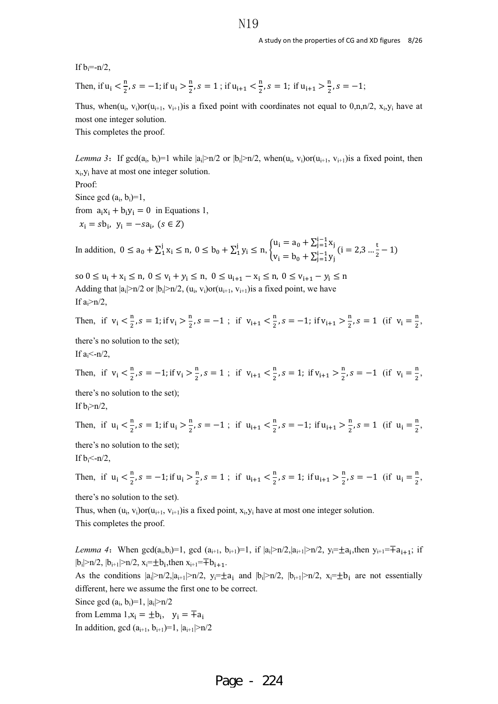If  $b_i=-n/2$ ,

Then, if 
$$
u_i < \frac{n}{2}
$$
,  $s = -1$ ; if  $u_i > \frac{n}{2}$ ,  $s = 1$ ; if  $u_{i+1} < \frac{n}{2}$ ,  $s = 1$ ; if  $u_{i+1} > \frac{n}{2}$ ,  $s = -1$ ;

Thus, when( $u_i$ ,  $v_i$ )or( $u_{i+1}$ ,  $v_{i+1}$ ) is a fixed point with coordinates not equal to 0,n,n/2,  $x_i$ ,  $y_i$  have at most one integer solution.

This completes the proof.

*Lemma* 3: If gcd(a<sub>i</sub>, b<sub>i</sub>)=1 while  $|a_i|>n/2$  or  $|b_i|>n/2$ , when(u<sub>i</sub>, v<sub>i</sub>)or(u<sub>i+1</sub>, v<sub>i+1</sub>)is a fixed point, then  $x_i, y_i$  have at most one integer solution. Proof: Since gcd  $(a_i, b_i)=1$ , from  $a_i x_i + b_i y_i = 0$  in Equations 1,  $x_i = s b_i$ ,  $y_i = -s a_i$ ,  $(s \in \mathbb{Z})$ 

$$
\text{In addition, } \hspace{1mm} 0 \leq a_0 + \Sigma_1^j \, x_i \leq n, \hspace{1mm} 0 \leq b_0 + \Sigma_1^j \, y_i \leq n, \hspace{1mm} \begin{cases} u_i = a_0 + \Sigma_{j=1}^{i-1} \, x_j \\ v_i = b_0 + \Sigma_{j=1}^{i-1} \, y_j \end{cases} \, (i=2,3 \ldots \frac{t}{2}-1)
$$

so  $0 \le u_i + x_i \le n$ ,  $0 \le v_i + y_i \le n$ ,  $0 \le u_{i+1} - x_i \le n$ ,  $0 \le v_{i+1} - y_i \le n$ Adding that  $|a_i|>n/2$  or  $|b_i|>n/2$ ,  $(u_i, v_i)$ or $(u_{i+1}, v_{i+1})$ is a fixed point, we have If  $a_i > n/2$ ,

Then, if 
$$
v_i < \frac{n}{2}
$$
,  $s = 1$ ; if  $v_i > \frac{n}{2}$ ,  $s = -1$ ; if  $v_{i+1} < \frac{n}{2}$ ,  $s = -1$ ; if  $v_{i+1} > \frac{n}{2}$ ,  $s = 1$  (if  $v_i = \frac{n}{2}$ ,

there's no solution to the set); If  $a_i$ <-n/2,

Then, if 
$$
v_i < \frac{n}{2}
$$
,  $s = -1$ ; if  $v_i > \frac{n}{2}$ ,  $s = 1$ ; if  $v_{i+1} < \frac{n}{2}$ ,  $s = 1$ ; if  $v_{i+1} > \frac{n}{2}$ ,  $s = -1$  (if  $v_i = \frac{n}{2}$ ,

there's no solution to the set); If  $b_i>n/2$ ,

Then, if 
$$
u_i < \frac{n}{2}
$$
,  $s = 1$ ; if  $u_i > \frac{n}{2}$ ,  $s = -1$ ; if  $u_{i+1} < \frac{n}{2}$ ,  $s = -1$ ; if  $u_{i+1} > \frac{n}{2}$ ,  $s = 1$  (if  $u_i = \frac{n}{2}$ ,

there's no solution to the set); If  $b_i$  <- n/2,

Then, if 
$$
u_i < \frac{n}{2}
$$
,  $s = -1$ ; if  $u_i > \frac{n}{2}$ ,  $s = 1$ ; if  $u_{i+1} < \frac{n}{2}$ ,  $s = 1$ ; if  $u_{i+1} > \frac{n}{2}$ ,  $s = -1$  (if  $u_i = \frac{n}{2}$ ,

there's no solution to the set).

Thus, when  $(u_i, v_i)$ or $(u_{i+1}, v_{i+1})$ is a fixed point,  $x_i, y_i$  have at most one integer solution. This completes the proof.

*Lemma 4*: When gcd(a<sub>i</sub>,b<sub>i</sub>)=1, gcd (a<sub>i+1</sub>, b<sub>i+1</sub>)=1, if  $|a_i|>n/2, |a_{i+1}|>n/2, y_i=\pm a_i$ , then  $y_{i+1}=\pm a_{i+1}$ ; if  $|b_i|>n/2$ ,  $|b_{i+1}|>n/2$ ,  $x_i=\pm b_i$ , then  $x_{i+1}=\pm b_{i+1}$ .

As the conditions  $|a_i|>n/2$ ,  $|a_{i+1}|>n/2$ ,  $y_i=\pm a_i$  and  $|b_i|>n/2$ ,  $|b_{i+1}|>n/2$ ,  $x_i=\pm b_i$  are not essentially different, here we assume the first one to be correct.

Since gcd  $(a_i, b_i)=1, |a_i|>n/2$ 

from Lemma  $1, x_i = \pm b_i$ ,  $y_i = \pm a_i$ In addition, gcd  $(a_{i+1}, b_{i+1})=1$ ,  $|a_{i+1}|>n/2$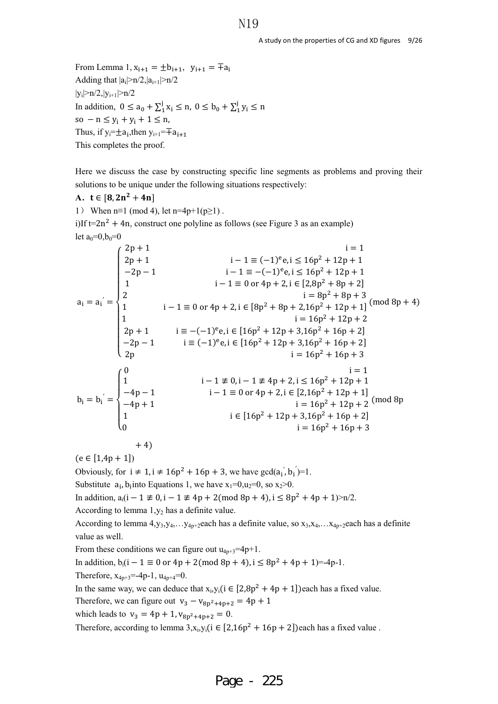From Lemma 1,  $x_{i+1} = \pm b_{i+1}$ ,  $y_{i+1} = \pm a_i$ Adding that  $|a_i|>n/2$ , $|a_{i+1}|>n/2$  $|y_i|>n/2, |y_{i+1}|>n/2$ In addition,  $0 \le a_0 + \sum_{1}^{j} x_i \le n$ ,  $0 \le b_0 + \sum_{1}^{j} y_i \le n$ so  $- n \le y_i + y_i + 1 \le n$ , Thus, if y<sub>i</sub>= $\pm$ a<sub>i</sub>,then y<sub>i+1</sub>= $\mp$ a<sub>i+1</sub> This completes the proof.

Here we discuss the case by constructing specific line segments as problems and proving their solutions to be unique under the following situations respectively:

## A.  $t \in [8, 2n^2 + 4n]$

1) When  $n=1 \pmod{4}$ , let  $n=4p+1(p\geq 1)$ .

i)If  $t=2n^2 + 4n$ , construct one polyline as follows (see Figure 3 as an example) let  $a_0=0, b_0=0$ 

$$
a_{i} = a_{i}^{'} = \begin{cases} 2p + 1 & i - 1 \equiv (-1)^{e}e, i \le 16p^{2} + 12p + 1 \\ -2p - 1 & i - 1 \equiv -(-1)^{e}e, i \le 16p^{2} + 12p + 1 \\ 1 & i - 1 \equiv 0 \text{ or } 4p + 2, i \in [2,8p^{2} + 8p + 2] \\ 2 & i = 8p^{2} + 8p + 3 \\ 1 & i - 1 \equiv 0 \text{ or } 4p + 2, i \in [8p^{2} + 8p + 2,16p^{2} + 12p + 1] \pmod{8p + 4} \\ 1 & i = 16p^{2} + 12p + 2 \\ 2p + 1 & i \equiv -(-1)^{e}e, i \in [16p^{2} + 12p + 3,16p^{2} + 16p + 2] \\ -2p - 1 & i \equiv (-1)^{e}e, i \in [16p^{2} + 12p + 3,16p^{2} + 16p + 2] \\ i = 16p^{2} + 16p + 3 \\ i = 16p^{2} + 16p + 3 \\ i = 1 \\ 6p^{2} + 12p + 1 \\ i = 1 \\ 6p^{2} + 12p + 1 \\ i = 16p^{2} + 12p + 1 \\ i = 16p^{2} + 12p + 2 \pmod{8p} \\ 1 & i \in [16p^{2} + 12p + 3,16p^{2} + 16p + 2] \\ i = 16p^{2} + 16p + 3 \\ i = 16p^{2} + 16p + 3 \end{cases}
$$

$$
+4)
$$

 $(e \in [1,4p + 1])$ 

Obviously, for  $i \neq 1$ ,  $i \neq 16p^2 + 16p + 3$ , we have  $gcd(a_i, b_i) = 1$ .

Substitute  $a_i$ ,  $b_i$  into Equations 1, we have  $x_1=0, u_2=0$ , so  $x_2>0$ .

In addition,  $a_i(i - 1 \not\equiv 0, i - 1 \not\equiv 4p + 2 \pmod{8p + 4}, i \leq 8p^2 + 4p + 1$  >n/2.

According to lemma  $1, y_2$  has a definite value.

According to lemma  $4, y_3, y_4, \ldots y_{4p+2}$ each has a definite value, so  $x_3, x_4, \ldots x_{4p+2}$ each has a definite value as well.

From these conditions we can figure out  $u_{4p+3}=4p+1$ .

In addition,  $b_i(i - 1 \equiv 0 \text{ or } 4p + 2 \pmod{8p + 4}$ ,  $i \leq 8p^2 + 4p + 1 = -4p-1$ .

Therefore,  $x_{4p+3} = -4p-1$ ,  $u_{4p+4} = 0$ .

In the same way, we can deduce that  $x_i, y_i$  (i  $\in [2,8p^2 + 4p + 1]$ ) each has a fixed value.

Therefore, we can figure out  $v_3 - v_{8p^2+4p+2} = 4p + 1$ 

which leads to  $v_3 = 4p + 1$ ,  $v_{8p^2+4p+2} = 0$ .

Therefore, according to lemma  $3, x_i, y_i$  ( $i \in [2, 16p^2 + 16p + 2]$ ) each has a fixed value.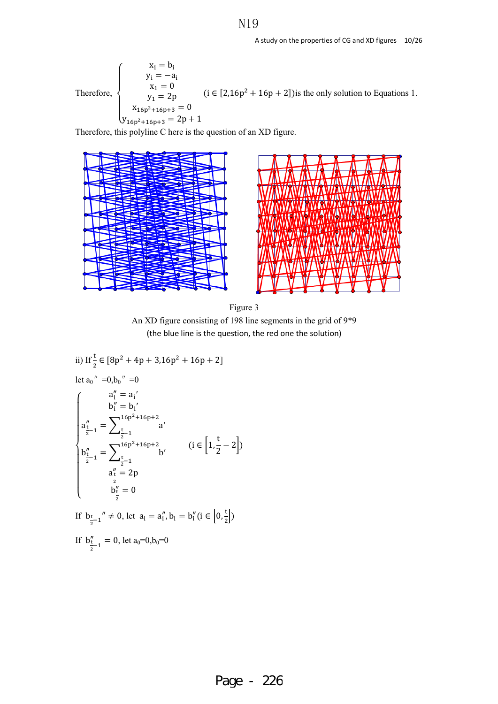Therefore,  
\n
$$
\begin{cases}\n x_{i} = b_{i} \\
 y_{i} = -a_{i} \\
 x_{1} = 0 \\
 y_{1} = 2p \\
 x_{16p^{2} + 16p + 3} = 0\n\end{cases}
$$
\n $(i \in [2, 16p^{2} + 16p + 2])$  is the only solution to Equations 1.

Therefore, this polyline C here is the question of an XD figure.



Figure 3 An XD figure consisting of 198 line segments in the grid of 9\*9 (the blue line is the question, the red one the solution)

ii) If 
$$
\frac{t}{2} \in [8p^2 + 4p + 3,16p^2 + 16p + 2]
$$
  
\nlet  $a_0'' = 0, b_0'' = 0$   
\n
$$
\begin{cases}\na_1'' = a_1' \\
b_1'' = b_1' \\
a_1'' = \sum_{\frac{t}{2}-1}^{16p^2 + 16p + 2} a' \\
b_2'' = \sum_{\frac{t}{2}-1}^{16p^2 + 16p + 2} b' \\
a_2'' = 2p \\
b_2'' = 0\n\end{cases}
$$
\n
$$
(i \in [1, \frac{t}{2} - 2])
$$
\nIf  $b_{\frac{t}{2}-1}'' \neq 0$ , let  $a_i = a_i'', b_i = b_i''$   $(i \in [0, \frac{t}{2}])$   
\nIf  $b_{\frac{t}{2}-1}'' \neq 0$ , let  $a_i = a_i'', b_i = b_i''$   $(i \in [0, \frac{t}{2}])$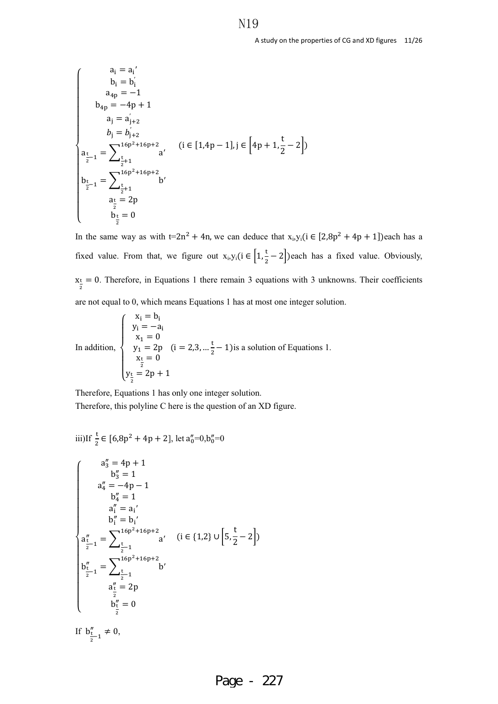$$
\begin{cases}\n a_i = a_i' \\
 b_i = b_i' \\
 a_{4p} = -1 \\
 b_{4p} = -4p + 1\n\end{cases}
$$
\n
$$
a_j = a_{j+2}'
$$
\n
$$
b_j = b_{j+2}'
$$
\n
$$
a_{\frac{t}{2}-1} = \sum_{\frac{t}{2}+1}^{16p^2+16p+2} a' \quad (i \in [1,4p-1], j \in [4p+1, \frac{t}{2}-2])
$$
\n
$$
b_{\frac{t}{2}-1} = \sum_{\frac{t}{2}+1}^{16p^2+16p+2} b' \\
 a_{\frac{t}{2}} = 2p \\
 a_{\frac{t}{2}} = 2p \\
 b_{\frac{t}{2}} = 0
$$

In the same way as with t=2n<sup>2</sup> + 4n, we can deduce that  $x_i, y_i$  ( $i \in [2,8p^2 + 4p + 1]$ )each has a fixed value. From that, we figure out  $x_i, y_i$  ( $i \in \left[1, \frac{t}{2} - 2\right]$ ) each has a fixed value. Obviously,  $x_{\frac{t}{2}} = 0$ . Therefore, in Equations 1 there remain 3 equations with 3 unknowns. Their coefficients are not equal to 0, which means Equations 1 has at most one integer solution.

In addition,  
\n
$$
\begin{cases}\n x_i = b_i \\
 y_i = -a_i \\
 x_1 = 0 \\
 y_1 = 2p \quad (i = 2, 3, \dots \frac{t}{2} - 1) \text{ is a solution of Equations 1.} \\
 x_t = 0 \\
 y_{\frac{t}{2}} = 2p + 1\n\end{cases}
$$

Therefore, Equations 1 has only one integer solution. Therefore, this polyline C here is the question of an XD figure.

iii) If 
$$
\frac{t}{2} \in [6.8p^2 + 4p + 2]
$$
, let  $a''_0 = 0, b''_0 = 0$ 

$$
\begin{cases}\na_3'' = 4p + 1 \\
b_3'' = 1 \\
a_4'' = -4p - 1 \\
b_4'' = 1 \\
a_1''' = a_1' \\
b_1''' = b_1' \\
a_1''' = b_1' \\
a_1''' = b_1' \\
a_1''' = \sum_{\frac{t}{2}-1}^{16p^2 + 16p + 2} a' \quad (i \in \{1, 2\} \cup \left[5, \frac{t}{2} - 2\right]) \\
b_2'' = 1 \\
a_1'' = 2p \\
a_1'' = 2p \\
a_1'' = 2p \\
b_1'' = 0\n\end{cases}
$$

If  $b''_{\frac{t}{2}-1} \neq 0$ ,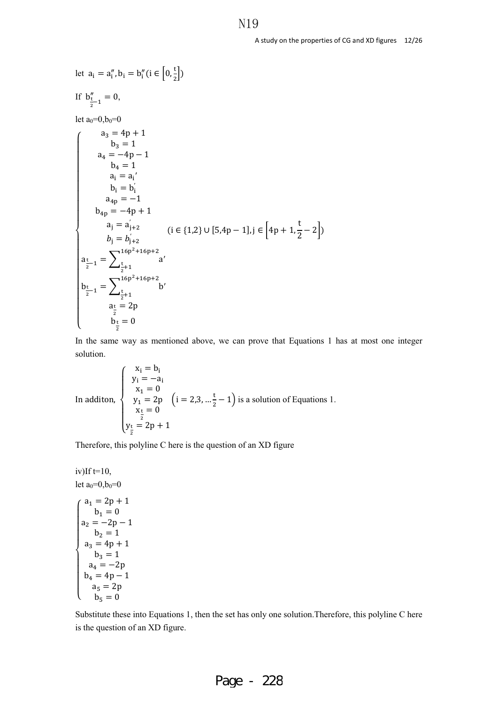let  $a_i = a''_i, b_i = b''_i (i \in [0, \frac{t}{2}])$ If  $b''_{\frac{t}{2}-1} = 0$ , let  $a_0=0, b_0=0$  $\overline{\mathcal{L}}$  $\overline{a}$  $\overline{a}$  $\overline{a}$  $\overline{a}$  $\overline{a}$  $\overline{a}$  $\overline{a}$  $\overline{a}$  $\frac{1}{2}$  $\overline{a}$  $\overline{a}$  $\overline{a}$  $\overline{a}$  $\overline{a}$  $\overline{a}$  $\overline{a}$  $\overline{a}$  $\begin{cases}\n a_3 = 4p + 1 \\
 b_3 = 1\n\end{cases}$  $a_4 = -4p - 1$  $b_4 = 1$  $a_i = a_i'$  $b_i = b'_i$  $a_{4p} = -1$  $b_{4p} = -4p + 1$  $a_j = a'_{j+2}$  $b_j = b'_{j+2}$  $a_{\frac{t}{2}-1} = \sum_{\frac{t}{2}+1} a'$  $16p^2 + 16p + 2$ t  $\frac{1}{2}+1$  $b_{\frac{t}{2}-1} = \sum_{\frac{t}{2}+1}$  b'  $16p^2 + 16p + 2$ t  $\frac{1}{2}+1$  $a_{\frac{t}{2}} = 2p$  $b_{\frac{t}{2}}=0$  $(i \in \{1,2\} \cup [5,4p-1], j \in \left[4p+1,\frac{1}{2}\right]$  $\frac{1}{2} - 2$ )

In the same way as mentioned above, we can prove that Equations 1 has at most one integer solution.

In addition,  
\n
$$
\begin{cases}\n x_i = b_i \\
 y_i = -a_i \\
 x_1 = 0 \\
 y_1 = 2p \quad (i = 2, 3, \dots \frac{t}{2} - 1) \text{ is a solution of Equations 1.} \\
 x_t = 0 \\
 y_t = 2p + 1\n\end{cases}
$$

Therefore, this polyline C here is the question of an XD figure

 $iv$ )If  $t=10$ , let  $a_0=0, b_0=0$  $\overline{\mathcal{L}}$  $\overline{1}$  $\mathbf{I}$  $\frac{1}{2}$  $\mathbf{I}$  $\frac{1}{2}$  $\overline{1}$  $\parallel$  $\mathbf{I}$  $a_1 = 2p + 1$ <br> $b_1 = 0$  $a_2 = -2p - 1$  $b_2 = 1$  $a_3 = 4p + 1$  $b_3 = 1$  $a_4 = -2p$  $b_4 = 4p - 1$  $a_5 = 2p$  $b_5 = 0$ 

Substitute these into Equations 1, then the set has only one solution.Therefore, this polyline C here is the question of an XD figure.

# N<sub>19</sub>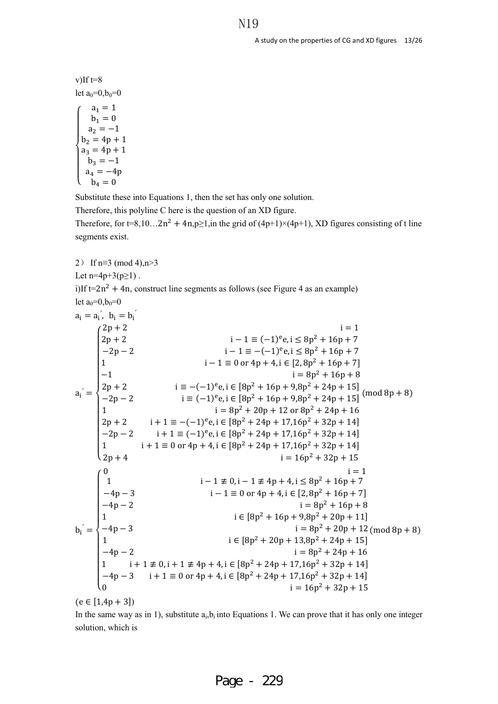v) If t=8  
\nlet 
$$
a_0=0, b_0=0
$$
  
\n $\begin{cases}\n a_1 = 1 \\
 b_1 = 0 \\
 a_2 = -1 \\
 b_2 = 4p + 1 \\
 a_3 = 4p + 1 \\
 b_3 = -1 \\
 a_4 = -4p \\
 b_4 = 0\n\end{cases}$ 

Substitute these into Equations 1, then the set has only one solution.

Therefore, this polyline C here is the question of an XD figure.

Therefore, for t=8,10…2n<sup>2</sup> + 4n,p≥1,in the grid of (4p+1)×(4p+1), XD figures consisting of t line segments exist.

2) If  $n \equiv 3 \pmod{4}$ ,  $n > 3$ Let n=4p+3(p $\geq$ 1). i)If  $t=2n^2 + 4n$ , construct line segments as follows (see Figure 4 as an example) let  $a_0=0, b_0=0$  $a_i = a'_i$ ,  $b_i = b'_i$  $a_i = a'_i$ ,  $b_i = b_i$  $a_i' =$  $\overline{\mathcal{L}}$  $\frac{1}{2}$  $\overline{a}$  $\overline{a}$  $\overline{a}$  $\overline{a}$  $\frac{1}{2}$  $\overline{a}$  $\overline{a}$  $\overline{a}$  $\overline{a}$  $\overline{a}$  $\begin{cases} 2p + 2 & \text{if } i = 1 \\ 2p + 2 & \text{if } -1 \equiv (-1)^e e, i \le 8p^2 + 16p + 7 \end{cases}$  $-2p - 2$  i − 1 ≡ −(−1)<sup>e</sup>e, i ≤ 8p<sup>2</sup> + 16p + 7 1  $i - 1 \equiv 0 \text{ or } 4p + 4$ ,  $i \in [2, 8p^2 + 16p + 7]$  $-1$  i = 8p<sup>2</sup> + 16p + 8  $2p + 2$  i  $\equiv -(-1)^e e$ , i  $\in [8p^2 + 16p + 9, 8p^2 + 24p + 15]$  $-2p - 2$  i  $\equiv (-1)^{e}e$ , i  $\in [8p^{2} + 16p + 9,8p^{2} + 24p + 15]$ 1  $i = 8p^2 + 20p + 12$  or  $8p^2 + 24p + 16$  $2p + 2$  i + 1  $\equiv -(-1)^e e$ , i  $\in [8p^2 + 24p + 17,16p^2 + 32p + 14]$  $-2p - 2$  i + 1  $\equiv (-1)^e e$ , i  $\in [8p^2 + 24p + 17,16p^2 + 32p + 14]$ 1  $i + 1 \equiv 0$  or  $4p + 4$ ,  $i \in [8p^2 + 24p + 17,16p^2 + 32p + 14]$  $2p + 4$  i = 16p<sup>2</sup> + 32p + 15  $(mod 8p + 8)$  $b_i' =$  $\overline{a}$  $\overline{a}$  $\mathbf{I}$  $\overline{a}$  $\overline{a}$  $\mathbf{I}$  $\frac{1}{2}$  $\overline{a}$  $\overline{a}$  $\overline{a}$  $\overline{a}$  $\overline{a}$  $\begin{cases} 0 & \text{if } i = 1 \\ 1 & \text{if } i - 1 \not\equiv 0, i - 1 \not\equiv 4p + 4, i \leq 8p^2 + 16p + 7 \end{cases}$  $-4p - 3$  i − 1 ≡ 0 or 4p + 4, i ∈ [2, 8p<sup>2</sup> + 16p + 7]  $-4p - 2$  i =  $8p^2 + 16p + 8$ 1  $i \in [8p^2 + 16p + 9,8p^2 + 20p + 11]$  $-4p-3$  i =  $8p^2 + 20p + 12$ 1  $i \in [8p^2 + 20p + 13,8p^2 + 24p + 15]$  $-4p - 2$  i =  $8p^2 + 24p + 16$ 1 i + 1 ≢ 0, i + 1 ≢ 4p + 4, i ∈  $[8p^2 + 24p + 17,16p^2 + 32p + 14]$  $-4p - 3$  i + 1 ≡ 0 or 4p + 4, i ∈ [8p<sup>2</sup> + 24p + 17,16p<sup>2</sup> + 32p + 14] 0 i =  $16p^2 + 32p + 15$  $(mod 8p + 8)$ 

$$
(e \in [1,4p+3])
$$

In the same way as in 1), substitute  $a_i, b_i$  into Equations 1. We can prove that it has only one integer solution, which is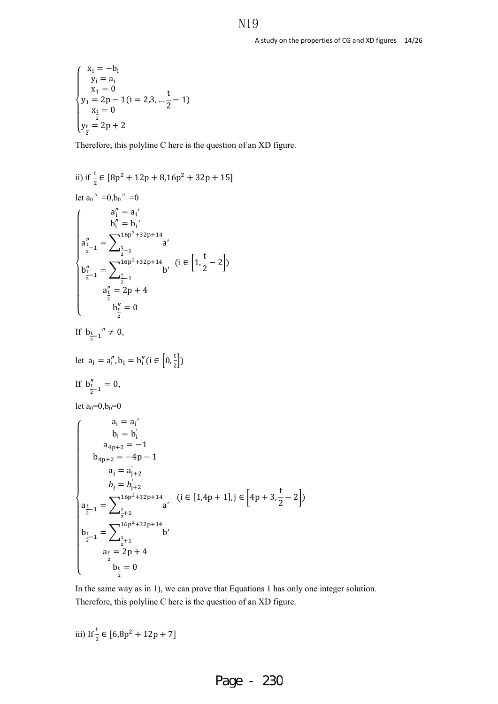$$
\begin{cases}\nx_i = -b_i \\
y_i = a_i \\
x_1 = 0 \\
y_1 = 2p - 1(i = 2, 3, \dots \frac{t}{2} - 1) \\
x_t = 0 \\
y_t = 2p + 2\n\end{cases}
$$

Therefore, this polyline C here is the question of an XD figure.

ii) if 
$$
\frac{t}{2} \in [8p^2 + 12p + 8,16p^2 + 32p + 15]
$$
  
\nlet  $a_0'' = 0, b_0'' = 0$   
\n $a_1'' = a_1'$   
\n $\begin{cases}\na_1'' = b_1' \\
a_1'' = b_1' \\
a_1'' = b_1' \\
a_1'' = \sum_{\frac{t}{2}-1}^{16p^2 + 32p + 14} a' \\
b_1'' = \sum_{\frac{t}{2}-1}^{16p^2 + 32p + 14} b' \quad (i \in [1, \frac{t}{2} - 2]) \\
a_1'' = 2p + 4 \\
b_1'' = 0\n\end{cases}$   
\nIf  $b_{\frac{t}{2}-1}'' \neq 0$ ,  
\nlet  $a_1 = a_1'', b_1 = b_1''$  (i  $\in [0, \frac{t}{2}]$ )  
\nIf  $b_{\frac{t}{2}-1}'' = 0$ ,  
\nlet  $a_0=0, b_0=0$   
\nlet  $a_0=0, b_0=0$   
\nlet  $a_0=0, b_0=0$   
\n $\begin{cases}\na_1 = a_1' \\
b_1 = b_1' \\
a_{4p+2} = -1 \\
b_{4p+2} = -4p - 1 \\
a_1 = a_{1+2}' \\
b_1' = b_{1+2}' \\
b_1' = b_{1+2}' \\
b_1' = b_{1+2}' \\
b_1' = b_{1+2}' \\
b_1' = 2p + 4\n\end{cases}$  (i  $\in [1,4p + 1]$ , j  $\in [4p + 3, \frac{t}{2}]$ 

In the same way as in 1), we can prove that Equations 1 has only one integer solution. Therefore, this polyline C here is the question of an XD figure.

iii) If 
$$
\frac{t}{2} \in [6,8p^2 + 12p + 7]
$$

 $b_{\frac{t}{2}}=0$ 

 $\overline{\mathcal{L}}$  $\overline{a}$   $\frac{1}{2} - 2$ )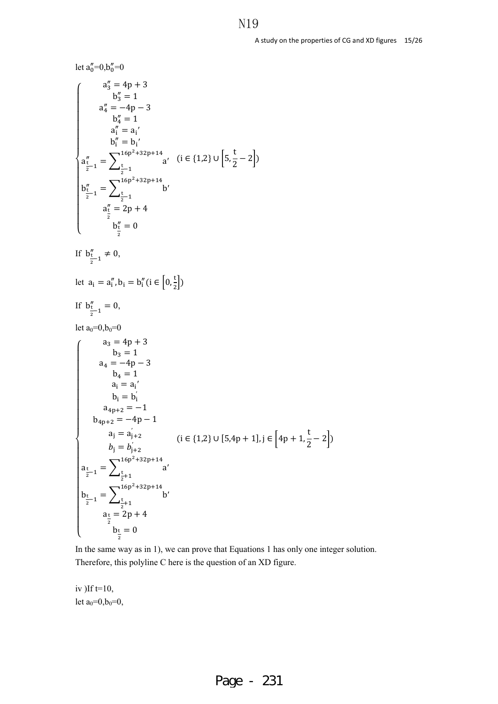let  $a_0''=0, b_0''=0$  $\overline{\mathcal{L}}$  $\overline{1}$  $\overline{a}$  $\overline{a}$  $\overline{a}$  $\overline{a}$  $\overline{a}$  $\frac{1}{2}$  $\overline{a}$  $\overline{a}$  $\overline{a}$  $\overline{a}$  $\overline{a}$  $\overline{a}$  $\begin{pmatrix} a''_3 = 4p + 3 \\ b'' - 1 \end{pmatrix}$  $b_3'' = 1$  $a_4'' = -4p - 3$  $b_4'' = 1$  $a''_i = a_i'$  $b''_i = b_i'$  $a''_{\frac{1}{2}-1} = \sum_{\frac{t}{2}-1}^{16p^2+32p+14} a'$ t  $\frac{1}{2}$  - 1  $b''_{\frac{1}{2}-1} = \sum_{\frac{t}{2}-1}^{16p^2+32p+14} b'$ t  $\frac{1}{2} - 1$  $a''_2 = 2p + 4$  $b''_{\frac{1}{2}} = 0$  $(i ∈ {1,2} ∪ ∪ [5,$ t  $\frac{1}{2} - 2$ ) If  $b''_{\frac{t}{2}-1} \neq 0$ , let  $a_i = a''_i, b_i = b''_i (i \in [0, \frac{t}{2}])$ If  $b''_{\frac{t}{2}-1} = 0$ , let  $a_0=0, b_0=0$  $\overline{\mathcal{L}}$  $\overline{1}$  $\overline{a}$  $\overline{a}$  $\overline{a}$  $\overline{a}$  $\overline{a}$  $\overline{a}$  $\overline{a}$  $\overline{a}$  $\overline{a}$  $\overline{a}$  $\overline{a}$  $\overline{a}$  $\overline{1}$  $\overline{a}$  $\overline{a}$  $\overline{a}$  $\begin{cases}\n a_3 = 4p + 3 \\
 b_3 = 1\n\end{cases}$  $a_4 = -4p - 3$  $b_4 = 1$  $a_i = a'_i$  $b_i = b'_i$  $a_{4p+2} = -1$  $b_{4p+2} = -4p - 1$  $a_j = a'_{j+2}$  $b_j = b'_{j+2}$  $a_{\frac{t}{2}-1} = \sum_{\frac{t}{2}+1} a'$  $16p^2 + 32p + 14$ t  $\frac{1}{2}+1$  $b_{\frac{t}{2}-1} = \sum_{\frac{t}{2}+1}$  b'  $16p^2 + 32p + 14$ t  $\frac{1}{2}+1$  $a_{\frac{t}{2}} = 2p + 4$  $b_{\frac{t}{2}}=0$  $(i \in \{1,2\} \cup [5,4p+1], j \in \left[4p+1,\frac{1}{2}\right]$  $\frac{1}{2} - 2$ 

In the same way as in 1), we can prove that Equations 1 has only one integer solution. Therefore, this polyline C here is the question of an XD figure.

iv )If  $t=10$ , let  $a_0=0, b_0=0$ ,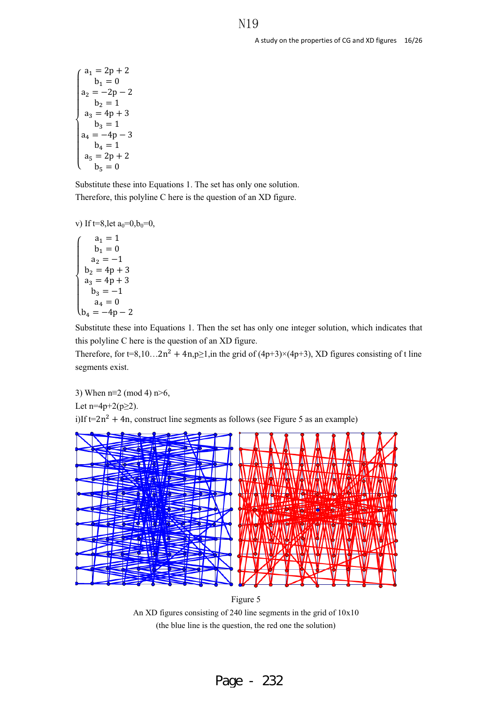$$
\begin{cases}\na_1 = 2p + 2 \\
b_1 = 0 \\
a_2 = -2p - 2 \\
b_2 = 1 \\
a_3 = 4p + 3 \\
b_3 = 1 \\
a_4 = -4p - 3 \\
b_4 = 1 \\
a_5 = 2p + 2 \\
b_5 = 0\n\end{cases}
$$

Substitute these into Equations 1. The set has only one solution. Therefore, this polyline C here is the question of an XD figure.

```
v) If t=8,let a_0=0,b_0=0,
```
 $\mathsf{b}_4 = -4\mathsf{p} - 2$  $\overline{a}$  $\overline{a}$  $\overline{a}$  $\overline{a}$  $\begin{vmatrix} a_1 & b_1 \\ a_2 & -1 \end{vmatrix}$  $a_1 = 1$  $b_1 = 0$  $b_2 = 4p + 3$  $a_3 = 4p + 3$  $b_3 = -1$  $a_4 = 0$ 

Substitute these into Equations 1. Then the set has only one integer solution, which indicates that this polyline C here is the question of an XD figure.

Therefore, for t=8,10…2n<sup>2</sup> + 4n,p≥1,in the grid of (4p+3)×(4p+3), XD figures consisting of t line segments exist.

3) When n≡2 (mod 4) n>6, Let n=4p+2( $p \ge 2$ ). i)If  $t=2n^2 + 4n$ , construct line segments as follows (see Figure 5 as an example)



Figure 5 An XD figures consisting of 240 line segments in the grid of 10x10 (the blue line is the question, the red one the solution)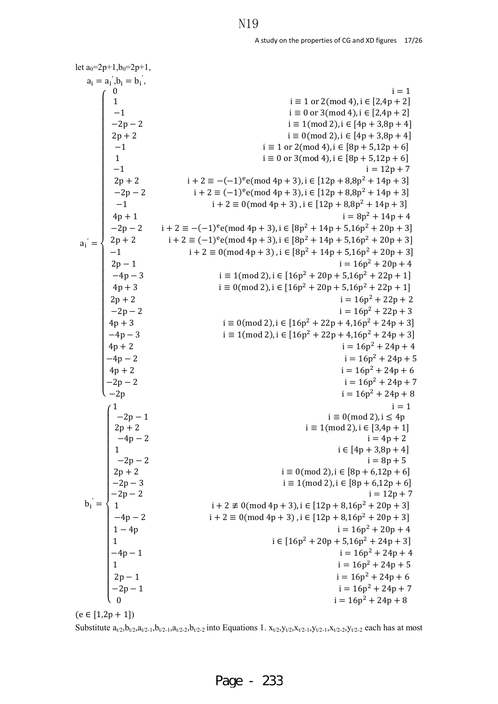| let $a_0=2p+1$ , $b_0=2p+1$ ,                                                                                                                              |                                                                                                                                                                         |
|------------------------------------------------------------------------------------------------------------------------------------------------------------|-------------------------------------------------------------------------------------------------------------------------------------------------------------------------|
| $a_i = a'_i, b_i = b'_i,$                                                                                                                                  |                                                                                                                                                                         |
|                                                                                                                                                            | $i = 1$                                                                                                                                                                 |
| $-1$<br>-2p - 2<br>  2p + 2<br>                                                                                                                            | $i \equiv 1 \text{ or } 2 \pmod{4}$ , $i \in [2,4p+2]$                                                                                                                  |
|                                                                                                                                                            | $i \equiv 0$ or 3(mod 4), $i \in [2,4p+2]$                                                                                                                              |
|                                                                                                                                                            | $i \equiv 1 \pmod{2}$ , $i \in [4p + 3,8p + 4]$                                                                                                                         |
|                                                                                                                                                            | $i \equiv 0 \pmod{2}$ , $i \in [4p + 3,8p + 4]$                                                                                                                         |
| $\mathbf{1}$                                                                                                                                               | $i \equiv 1$ or 2(mod 4), $i \in [8p + 5, 12p + 6]$                                                                                                                     |
| $-1$                                                                                                                                                       | $i \equiv 0$ or 3(mod 4), $i \in [8p + 5, 12p + 6]$<br>$i = 12p + 7$                                                                                                    |
| $2p + 2$                                                                                                                                                   | $i + 2 \equiv -(-1)^e e \pmod{4p + 3}, i \in [12p + 8.8p^2 + 14p + 3]$                                                                                                  |
|                                                                                                                                                            | $i + 2 \equiv (-1)^e e \pmod{4p + 3}$ , $i \in [12p + 8.8p^2 + 14p + 3]$                                                                                                |
| $-2p-2$<br>$-1$                                                                                                                                            | $i + 2 \equiv 0 \pmod{4p + 3}$ , $i \in [12p + 8.8p^2 + 14p + 3]$                                                                                                       |
|                                                                                                                                                            | $i = 8p^2 + 14p + 4$                                                                                                                                                    |
| $4p + 1$                                                                                                                                                   |                                                                                                                                                                         |
|                                                                                                                                                            | $i + 2 \equiv -(-1)^e e \pmod{4p + 3}$ , $i \in [8p^2 + 14p + 5, 16p^2 + 20p + 3]$<br>$i + 2 \equiv (-1)^e e \pmod{4p + 3}$ , $i \in [8p^2 + 14p + 5, 16p^2 + 20p + 3]$ |
|                                                                                                                                                            | $i + 2 \equiv 0 \pmod{4p + 3}$ , $i \in [8p^2 + 14p + 5,16p^2 + 20p + 3]$                                                                                               |
|                                                                                                                                                            | $i = 16p^2 + 20p + 4$                                                                                                                                                   |
| $a_1' = \begin{cases} -2p-2 \\ 2p+2 \\ -1 \\ 2p-1 \\ -4p-3 \end{cases}$                                                                                    | $i \equiv 1 \pmod{2}$ , $i \in [16p^2 + 20p + 5, 16p^2 + 22p + 1]$                                                                                                      |
| $4p + 3$                                                                                                                                                   | $i \equiv 0 \pmod{2}$ , $i \in [16p^2 + 20p + 5, 16p^2 + 22p + 1]$                                                                                                      |
| $2p + 2$                                                                                                                                                   | $i = 16p^2 + 22p + 2$                                                                                                                                                   |
| $-2p-2$                                                                                                                                                    | $i = 16p^2 + 22p + 3$                                                                                                                                                   |
| $4p + 3$                                                                                                                                                   | $i \equiv 0 \pmod{2}$ , $i \in [16p^2 + 22p + 4, 16p^2 + 24p + 3]$                                                                                                      |
| $-4p-3$                                                                                                                                                    | $i \equiv 1 \pmod{2}$ , $i \in [16p^2 + 22p + 4, 16p^2 + 24p + 3]$                                                                                                      |
| $4p + 2$                                                                                                                                                   | $i = 16p^2 + 24p + 4$                                                                                                                                                   |
|                                                                                                                                                            | $i = 16p^2 + 24p + 5$                                                                                                                                                   |
|                                                                                                                                                            | $i = 16p^2 + 24p + 6$                                                                                                                                                   |
|                                                                                                                                                            | $i = 16p^2 + 24p + 7$                                                                                                                                                   |
| $\begin{cases}\n-4p - 2 \\ 4p + 2 \\ -2p - 2 \\ -2p\n\end{cases}$                                                                                          | $i = 16p^2 + 24p + 8$                                                                                                                                                   |
|                                                                                                                                                            | $i = 1$                                                                                                                                                                 |
| $\begin{array}{c} -2p-1 \\ 2p+2 \end{array}$                                                                                                               | $i \equiv 0 \pmod{2}$ , $i \leq 4p$                                                                                                                                     |
|                                                                                                                                                            | $i \equiv 1 \pmod{2}$ , $i \in [3,4p+1]$                                                                                                                                |
|                                                                                                                                                            | $i = 4p + 2$                                                                                                                                                            |
|                                                                                                                                                            | $i \in [4p + 3,8p + 4]$                                                                                                                                                 |
|                                                                                                                                                            | $i = 8p + 5$                                                                                                                                                            |
|                                                                                                                                                            | $i \equiv 0 \pmod{2}$ , $i \in [8p + 6, 12p + 6]$<br>$i \equiv 1 \pmod{2}$ , $i \in [8p + 6, 12p + 6]$                                                                  |
|                                                                                                                                                            | $i = 12p + 7$                                                                                                                                                           |
|                                                                                                                                                            | $i + 2 \not\equiv 0 \pmod{4p+3}$ , $i \in [12p+8,16p^2+20p+3]$                                                                                                          |
|                                                                                                                                                            | $i + 2 \equiv 0 \pmod{4p + 3}$ , $i \in [12p + 8, 16p^2 + 20p + 3]$                                                                                                     |
|                                                                                                                                                            | $i = 16p^2 + 20p + 4$                                                                                                                                                   |
|                                                                                                                                                            | $i \in [16p^2 + 20p + 5,16p^2 + 24p + 3]$                                                                                                                               |
|                                                                                                                                                            | $i = 16p^2 + 24p + 4$                                                                                                                                                   |
|                                                                                                                                                            | $i = 16p^2 + 24p + 5$                                                                                                                                                   |
|                                                                                                                                                            | $i = 16p^2 + 24p + 6$                                                                                                                                                   |
| $b_i = \begin{cases}\n-4p - 2 \\ 1 \\ -2p - 2 \\ -2p - 3 \\ -2p - 2 \\ 1 \\ -4p - 2 \\ 1 - 4p \\ 1 \\ -4p - 1 \\ 1 \\ 2p - 1 \\ -2p - 1 \\ 0\n\end{cases}$ | $i = 16p^2 + 24p + 7$                                                                                                                                                   |
|                                                                                                                                                            | $i = 16p^2 + 24p + 8$                                                                                                                                                   |
|                                                                                                                                                            |                                                                                                                                                                         |

 $(e \in [1,2p+1])$ 

Substitute  $a_{t/2}$ ,  $b_{t/2}, a_{t/2-1}, b_{t/2-1}, a_{t/2-2}, b_{t/2-2}$  into Equations 1.  $x_{t/2}$ ,  $y_{t/2}$ ,  $x_{t/2-1}$ ,  $y_{t/2-1}$ ,  $x_{t/2-2}$ ,  $y_{t/2-2}$  each has at most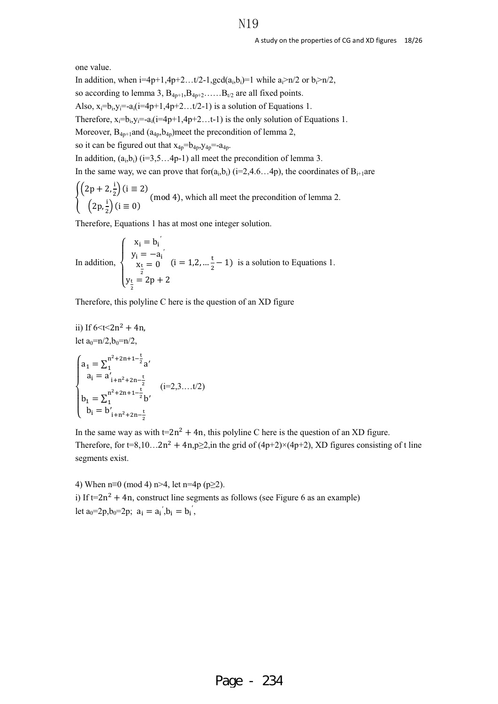one value.

In addition, when  $i=4p+1,4p+2...t/2-1, \gcd(a_i,b_i)=1$  while  $a_i>n/2$  or  $b_i>n/2$ ,

so according to lemma 3,  $B_{4p+1}, B_{4p+2}, \ldots, B_{t/2}$  are all fixed points.

Also,  $x_i=b_i, y_i=-a_i(i=4p+1,4p+2...t/2-1)$  is a solution of Equations 1.

Therefore,  $x_i=b_i, y_i=-a_i(i=4p+1,4p+2...t-1)$  is the only solution of Equations 1.

Moreover,  $B_{4p+1}$ and  $(a_{4p},b_{4p})$ meet the precondition of lemma 2,

so it can be figured out that  $x_{4p}=b_{4p},y_{4p}=-a_{4p}.$ 

In addition,  $(a_i, b_i)$  (i=3,5...4p-1) all meet the precondition of lemma 3.

In the same way, we can prove that for $(a_i, b_i)$  (i=2,4.6…4p), the coordinates of  $B_{i+1}$ are

$$
\begin{cases}\n\left(2p + 2, \frac{1}{2}\right) (i \equiv 2) \\
\left(2p, \frac{1}{2}\right) (i \equiv 0)\n\end{cases}
$$
\n(mod 4), which all meet the precondition of lemma 2.

Therefore, Equations 1 has at most one integer solution.

In addition, 
$$
\begin{cases} x_i = b_i \\ y_i = -a_i \\ x_t = 0 \\ y_{\frac{t}{2}} = 2p + 2 \end{cases}
$$
 (i = 1,2, ...  $\frac{t}{2}$  - 1) is a solution to Equations 1.

Therefore, this polyline C here is the question of an XD figure

ii) If 
$$
6 \le t \le 2n^2 + 4n
$$
,  
\nlet  $a_0=n/2, b_0=n/2$ ,  
\n
$$
\begin{cases}\na_1 = \sum_{1}^{n^2+2n+1-\frac{t}{2}} a' \\
a_i = a'_{i+n^2+2n-\frac{t}{2}} \\
b_1 = \sum_{1}^{n^2+2n+1-\frac{t}{2}} b' \\
b_i = b'_{i+n^2+2n-\frac{t}{2}}\n\end{cases}
$$
\n(i=2,3...t/2)

In the same way as with  $t=2n^2 + 4n$ , this polyline C here is the question of an XD figure. Therefore, for t=8,10…2n<sup>2</sup> + 4n,p>2,in the grid of (4p+2)×(4p+2), XD figures consisting of t line segments exist.

4) When n≡0 (mod 4) n>4, let n=4p (p $\geq$ 2).

i) If  $t=2n^2 + 4n$ , construct line segments as follows (see Figure 6 as an example) let  $a_0=2p, b_0=2p$ ;  $a_i = a'_i, b_i = b'_i$ ,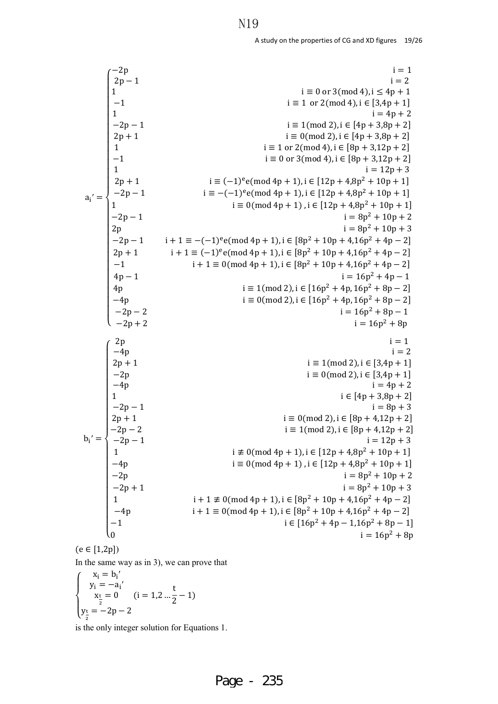|                                                                                                                                                          |                                                                                                     | $i = 1$                                                                           |
|----------------------------------------------------------------------------------------------------------------------------------------------------------|-----------------------------------------------------------------------------------------------------|-----------------------------------------------------------------------------------|
|                                                                                                                                                          |                                                                                                     | $i = 2$                                                                           |
|                                                                                                                                                          | $\begin{pmatrix} -2p \\ 2p-1 \\ 1 \end{pmatrix}$                                                    | $i \equiv 0$ or 3(mod 4), $i \leq 4p + 1$                                         |
|                                                                                                                                                          | $\vert -1$                                                                                          | $i \equiv 1 \text{ or } 2 \pmod{4}$ , $i \in [3,4p+1]$                            |
|                                                                                                                                                          | $\mathbf{1}$                                                                                        | $i = 4p + 2$                                                                      |
| $a_i' = \begin{cases} 1 \\ -1 \\ 1 \\ -2p - 1 \\ 1 \\ -2p - 1 \\ 2p \\ -2p - 1 \\ 2p + 1 \\ -1 \\ 4p - 1 \\ 4p \\ -4p \\ -2p - 2 \\ -2p + 2 \end{cases}$ | $-2p-1$                                                                                             | $i \equiv 1 \pmod{2}$ , $i \in [4p + 3,8p + 2]$                                   |
|                                                                                                                                                          |                                                                                                     | $i \equiv 0 \pmod{2}$ , $i \in [4p + 3.8p + 2]$                                   |
|                                                                                                                                                          | $2p + 1$ $1$                                                                                        | $i \equiv 1 \text{ or } 2 \pmod{4}$ , $i \in [8p + 3, 12p + 2]$                   |
|                                                                                                                                                          |                                                                                                     | $i \equiv 0$ or 3(mod 4), $i \in [8p + 3, 12p + 2]$                               |
|                                                                                                                                                          |                                                                                                     | $i = 12p + 3$                                                                     |
|                                                                                                                                                          |                                                                                                     | $i \equiv (-1)^e e \pmod{4p+1}$ , $i \in [12p+4.8p^2+10p+1]$                      |
|                                                                                                                                                          |                                                                                                     | $i \equiv -(-1)^e e \pmod{4p+1}$ , $i \in [12p+4.8p^2+10p+1]$                     |
|                                                                                                                                                          |                                                                                                     | $i \equiv 0 \pmod{4p + 1}$ , $i \in [12p + 4, 8p^2 + 10p + 1]$                    |
|                                                                                                                                                          |                                                                                                     | $i = 8p^2 + 10p + 2$                                                              |
|                                                                                                                                                          |                                                                                                     | $i = 8p^2 + 10p + 3$                                                              |
|                                                                                                                                                          |                                                                                                     | $i + 1 \equiv -(-1)^e e \pmod{4p + 1}$ , $i \in [8p^2 + 10p + 4, 16p^2 + 4p - 2]$ |
|                                                                                                                                                          |                                                                                                     | $i + 1 \equiv (-1)^e e (mod 4p + 1), i \in [8p^2 + 10p + 4, 16p^2 + 4p - 2]$      |
|                                                                                                                                                          |                                                                                                     | $i + 1 \equiv 0 \pmod{4p + 1}$ , $i \in [8p^2 + 10p + 4, 16p^2 + 4p - 2]$         |
|                                                                                                                                                          |                                                                                                     | $i = 16p^2 + 4p - 1$                                                              |
|                                                                                                                                                          |                                                                                                     |                                                                                   |
|                                                                                                                                                          |                                                                                                     | $i \equiv 1 \pmod{2}$ , $i \in [16p^2 + 4p, 16p^2 + 8p - 2]$                      |
|                                                                                                                                                          |                                                                                                     | $i \equiv 0 \pmod{2}$ , $i \in [16p^2 + 4p, 16p^2 + 8p - 2]$                      |
|                                                                                                                                                          |                                                                                                     | $i = 16p^2 + 8p - 1$                                                              |
|                                                                                                                                                          |                                                                                                     | $i = 16p^2 + 8p$                                                                  |
|                                                                                                                                                          | $\begin{cases}\n2p \\ -4p \\ 2p+1 \\ -2p \\ 4p \\ 1 \\ -2p-1 \\ 2p+1 \\ -2p-2 \\ 2p-1\n\end{cases}$ | $i = 1$                                                                           |
|                                                                                                                                                          |                                                                                                     | $i = 2$                                                                           |
|                                                                                                                                                          |                                                                                                     | $i \equiv 1 \pmod{2}$ , $i \in [3,4p+1]$                                          |
| $b_i' =$                                                                                                                                                 |                                                                                                     | $i \equiv 0 \pmod{2}$ , $i \in [3,4p + 1]$                                        |
|                                                                                                                                                          |                                                                                                     | $i = 4p + 2$                                                                      |
|                                                                                                                                                          |                                                                                                     | $i \in [4p + 3.8p + 2]$                                                           |
|                                                                                                                                                          |                                                                                                     | $i = 8p + 3$                                                                      |
|                                                                                                                                                          |                                                                                                     | $i \equiv 0 \pmod{2}$ , $i \in [8p + 4, 12p + 2]$                                 |
|                                                                                                                                                          |                                                                                                     | $i \equiv 1 \pmod{2}$ , $i \in [8p + 4, 12p + 2]$                                 |
|                                                                                                                                                          | $-2p-1$                                                                                             | $i = 12p + 3$                                                                     |
|                                                                                                                                                          |                                                                                                     | $i \not\equiv 0 \pmod{4p+1}$ , $i \in [12p+4,8p^2+10p+1]$                         |
|                                                                                                                                                          |                                                                                                     | $i \equiv 0 \pmod{4p+1}$ , $i \in [12p+4,8p^2+10p+1]$                             |
|                                                                                                                                                          |                                                                                                     | $i = 8p^2 + 10p + 2$                                                              |
|                                                                                                                                                          | $\begin{cases}\n-4p \\ -2p \\ -2p+1 \\ 1\n\end{cases}$                                              | $i = 8p^2 + 10p + 3$                                                              |
|                                                                                                                                                          |                                                                                                     | $i + 1 \neq 0 \pmod{4p + 1}$ , $i \in [8p^2 + 10p + 4, 16p^2 + 4p - 2]$           |
|                                                                                                                                                          |                                                                                                     | $i + 1 \equiv 0 \pmod{4p + 1}$ , $i \in [8p^2 + 10p + 4, 16p^2 + 4p - 2]$         |
|                                                                                                                                                          | $-4p$<br>$-1$                                                                                       | $i \in [16p^2 + 4p - 1, 16p^2 + 8p - 1]$                                          |
|                                                                                                                                                          |                                                                                                     | $i = 16p^2 + 8p$                                                                  |
|                                                                                                                                                          |                                                                                                     |                                                                                   |

 $(e \in [1,2p])$ 

In the same way as in 3), we can prove that

$$
\begin{cases}\n x_i = b_i' \\
 y_i = -a_i' \\
 x_i = 0 \\
 y_i = -2p - 2\n\end{cases} (i = 1, 2 \dots \frac{t}{2} - 1)
$$

is the only integer solution for Equations 1.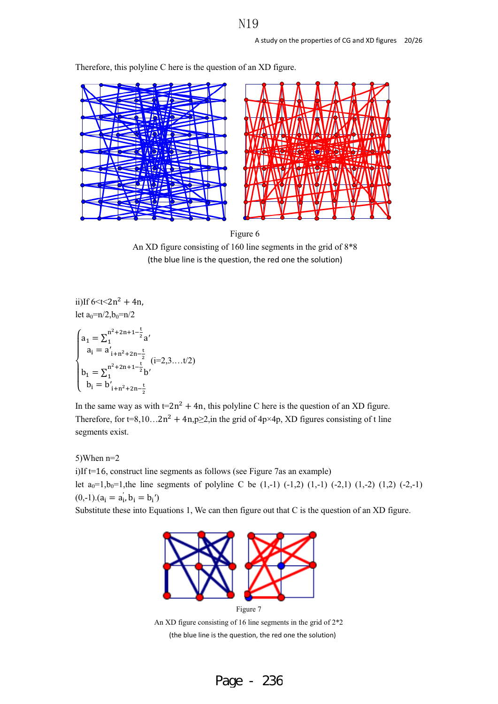

Therefore, this polyline C here is the question of an XD figure.



ii)If  $6 < t < 2n^2 + 4n$ , let  $a_0=n/2, b_0=n/2$  $\overline{\mathcal{L}}$  $\overline{\mathcal{L}}$  $\mathbf{I}$  $\overline{a}$  $a_1 = \sum_1^{n^2 + 2n + 1 - \frac{t}{2}} a'$  $a_i = a'_{i+n^2+2n-\frac{t}{2}}$ <br>  $b_1 = \sum_1^{n^2+2n+1-\frac{t}{2}} b'$  $b_i = b'_{i+n^2+2n-\frac{t}{2}}$  $(i=2,3...t/2)$ 

In the same way as with  $t=2n^2 + 4n$ , this polyline C here is the question of an XD figure. Therefore, for t=8,10…2n<sup>2</sup> + 4n,p $\geq$ 2, in the grid of 4p×4p, XD figures consisting of t line segments exist.

5)When n=2 i)If t=16, construct line segments as follows (see Figure 7as an example) let  $a_0=1, b_0=1$ , the line segments of polyline C be  $(1,-1)$   $(-1,2)$   $(1,-1)$   $(-2,1)$   $(1,-2)$   $(1,2)$   $(-2,-1)$  $(0,-1).(a_i = a'_i, b_i = b_i')$ 

Substitute these into Equations 1, We can then figure out that C is the question of an XD figure.



Figure 7 An XD figure consisting of 16 line segments in the grid of 2\*2 (the blue line is the question, the red one the solution)

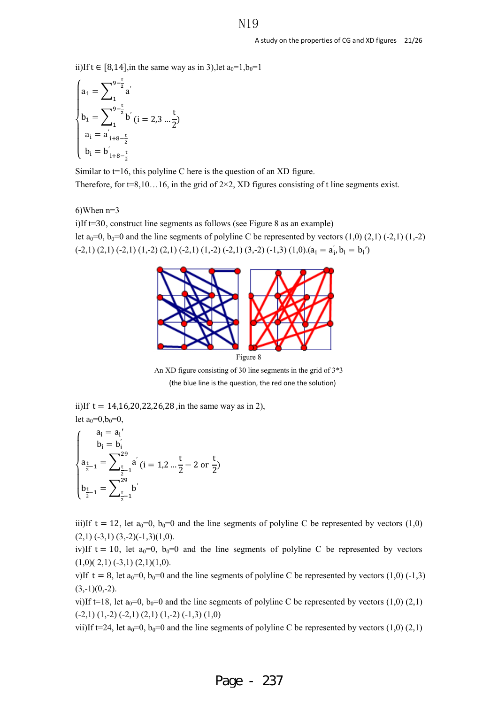ii)If t ∈ [8,14],in the same way as in 3),let  $a_0=1, b_0=1$ 

$$
\begin{cases}\na_1 = \sum_{1}^{9-\frac{t}{2}} a' \\
b_1 = \sum_{1}^{9-\frac{t}{2}} b' (i = 2, 3 \dots \frac{t}{2}) \\
a_i = a'_{i+8-\frac{t}{2}} \\
b_i = b'_{i+8-\frac{t}{2}}\n\end{cases}
$$

Similar to  $t=16$ , this polyline C here is the question of an XD figure. Therefore, for t=8,10...16, in the grid of  $2\times 2$ , XD figures consisting of t line segments exist.

6)When n=3

i)If t=30, construct line segments as follows (see Figure 8 as an example) let  $a_0=0$ ,  $b_0=0$  and the line segments of polyline C be represented by vectors  $(1,0)$   $(2,1)$   $(-2,1)$   $(1,-2)$  $(-2,1)(2,1)(-2,1)(1,-2)(2,1)(-2,1)(1,-2)(-2,1)(3,-2)(-1,3)(1,0)(a<sub>i</sub> = a'<sub>i</sub>, b<sub>i</sub> = b<sub>i</sub>')$ 



An XD figure consisting of 30 line segments in the grid of 3\*3 (the blue line is the question, the red one the solution)

ii)If  $t = 14,16,20,22,26,28$ , in the same way as in 2),

let 
$$
a_0=0, b_0=0
$$
,  
\n
$$
\begin{cases}\na_i = a_i' \\
b_i = b_i' \\
a_{\frac{t}{2}-1} = \sum_{\frac{t}{2}-1}^{29} a'_i \ (i = 1, 2 \ldots \frac{t}{2} - 2 \text{ or } n\end{cases}
$$
\n
$$
\begin{cases}\na_{\frac{t}{2}-1} = \sum_{\frac{t}{2}-1}^{29} b'_i \\
b_{\frac{t}{2}-1} = \sum_{\frac{t}{2}-1}^{29} b'_i\n\end{cases}
$$

 $\frac{1}{2} - 1$ 

 $\overline{\mathcal{L}}$ 

iii)If  $t = 12$ , let  $a_0=0$ ,  $b_0=0$  and the line segments of polyline C be represented by vectors (1,0)  $(2,1)$   $(-3,1)$   $(3,-2)(-1,3)(1,0)$ .

t  $\frac{1}{2}$ 

iv)If t = 10, let  $a_0=0$ ,  $b_0=0$  and the line segments of polyline C be represented by vectors  $(1,0)$  $(2,1)$  $(-3,1)$  $(2,1)$  $(1,0)$ .

v)If  $t=8$ , let  $a_0=0$ ,  $b_0=0$  and the line segments of polyline C be represented by vectors (1,0) (-1,3)  $(3,-1)(0,-2)$ .

vi)If t=18, let  $a_0=0$ ,  $b_0=0$  and the line segments of polyline C be represented by vectors (1,0) (2,1)  $(-2,1)$   $(1,-2)$   $(-2,1)$   $(2,1)$   $(1,-2)$   $(-1,3)$   $(1,0)$ 

vii)If t=24, let  $a_0=0$ ,  $b_0=0$  and the line segments of polyline C be represented by vectors (1,0) (2,1)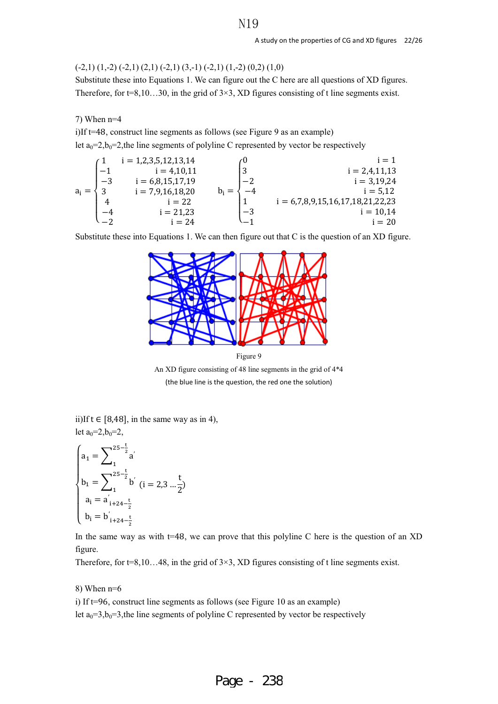#### $(-2,1)$   $(1,-2)$   $(-2,1)$   $(2,1)$   $(-2,1)$   $(3,-1)$   $(-2,1)$   $(1,-2)$   $(0,2)$   $(1,0)$

Substitute these into Equations 1. We can figure out the C here are all questions of XD figures. Therefore, for  $t=8,10...30$ , in the grid of  $3\times3$ , XD figures consisting of t line segments exist.

#### 7) When n=4

i)If t=48, construct line segments as follows (see Figure 9 as an example) let  $a_0=2$ ,  $b_0=2$ , the line segments of polyline C represented by vector be respectively

$$
a_i = \begin{cases}\n1 & i = 1,2,3,5,12,13,14 \\
-1 & i = 4,10,11 \\
-3 & i = 6,8,15,17,19 \\
3 & i = 7,9,16,18,20 \\
4 & i = 22 \\
-4 & i = 21,23 \\
-2 & i = 24\n\end{cases}\n\qquad\n\begin{cases}\n0 & i = 1 \\
3 & i = 2,4,11,13 \\
-2 & i = 6,7,8,9,15,16,17,18,21,22,23 \\
-3 & i = 10,14 \\
-1 & i = 20\n\end{cases}
$$

Substitute these into Equations 1. We can then figure out that C is the question of an XD figure.



Figure 9

An XD figure consisting of 48 line segments in the grid of 4\*4 (the blue line is the question, the red one the solution)

ii)If  $t \in [8,48]$ , in the same way as in 4), let  $a_0=2, b_0=2$ ,

$$
\begin{cases}\na_1 = \sum_{1}^{25 - \frac{t}{2}} a' \\
b_1 = \sum_{1}^{25 - \frac{t}{2}} b' \quad (i = 2, 3 \dots \frac{t}{2}) \\
a_i = a'_{i+24 - \frac{t}{2}} \\
b_i = b'_{i+24 - \frac{t}{2}}\n\end{cases}
$$

In the same way as with  $t=48$ , we can prove that this polyline C here is the question of an XD figure.

Therefore, for  $t=8,10...48$ , in the grid of  $3\times3$ , XD figures consisting of t line segments exist.

#### 8) When  $n=6$

i) If t=96, construct line segments as follows (see Figure 10 as an example)

let  $a_0=3, b_0=3$ , the line segments of polyline C represented by vector be respectively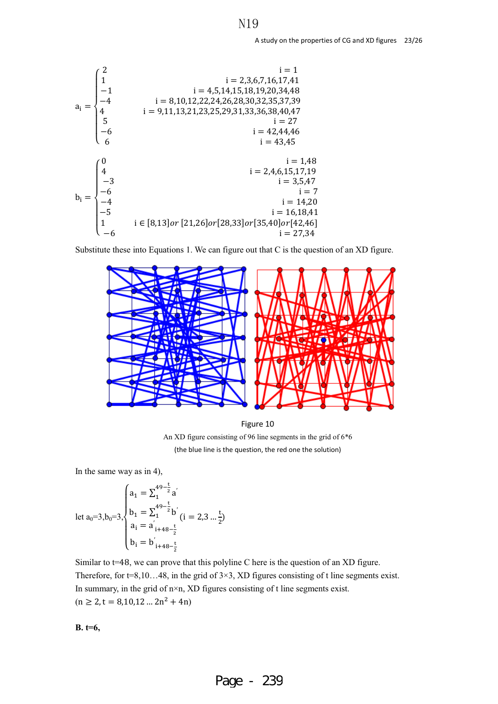

Substitute these into Equations 1. We can figure out that C is the question of an XD figure.



Figure 10 An XD figure consisting of 96 line segments in the grid of 6\*6 (the blue line is the question, the red one the solution)

In the same way as in 4),

$$
\text{let } a_0=3, b_0=3, \begin{cases} a_1 = \sum_{1}^{49-\frac{t}{2}} a' \\ b_1 = \sum_{1}^{49-\frac{t}{2}} b' \\ a_i = a'_{i+48-\frac{t}{2}} \\ b_i = b'_{i+48-\frac{t}{2}} \end{cases} (i = 2, 3 \dots \frac{t}{2})
$$

Similar to  $t=48$ , we can prove that this polyline C here is the question of an XD figure. Therefore, for  $t=8,10...48$ , in the grid of  $3\times3$ , XD figures consisting of t line segments exist. In summary, in the grid of n×n, XD figures consisting of t line segments exist.  $(n \ge 2, t = 8,10,12... 2n^2 + 4n)$ 

**B. t=6,**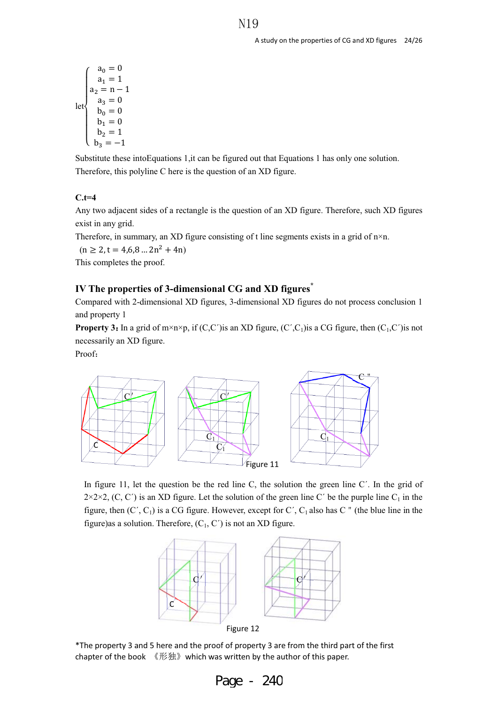$$
\det \left\{ \begin{array}{ll} a_0=0 \\ a_1=1 \\ a_2=n-1 \\ a_3=0 \\ b_0=0 \\ b_1=0 \\ b_2=1 \\ b_3=-1 \end{array} \right.
$$

Substitute these intoEquations 1,it can be figured out that Equations 1 has only one solution. Therefore, this polyline C here is the question of an XD figure.

## **C.t=4**

Any two adjacent sides of a rectangle is the question of an XD figure. Therefore, such XD figures exist in any grid.

Therefore, in summary, an XD figure consisting of t line segments exists in a grid of  $n \times n$ .

 $(n \ge 2, t = 4, 6, 8 ... 2n^2 + 4n)$ 

This completes the proof.

## **IV The properties of 3-dimensional CG and XD figures\***

Compared with 2-dimensional XD figures, 3-dimensional XD figures do not process conclusion 1 and property 1

**Property 3:** In a grid of m×n×p, if  $(C, C')$  is an XD figure,  $(C', C_1)$  is a CG figure, then  $(C_1, C')$  is not necessarily an XD figure.

Proof:



In figure 11, let the question be the red line C, the solution the green line C'. In the grid of  $2\times2\times2$ , (C, C') is an XD figure. Let the solution of the green line C' be the purple line C<sub>1</sub> in the figure, then  $(C', C_1)$  is a CG figure. However, except for C',  $C_1$  also has C  $\prime\prime$  (the blue line in the figure)as a solution. Therefore,  $(C_1, C')$  is not an XD figure.



Figure 12

\*The property 3 and 5 here and the proof of property 3 are from the third part of the first chapter of the book 《形独》 which was written by the author of this paper.

| Page | 24C |
|------|-----|
|------|-----|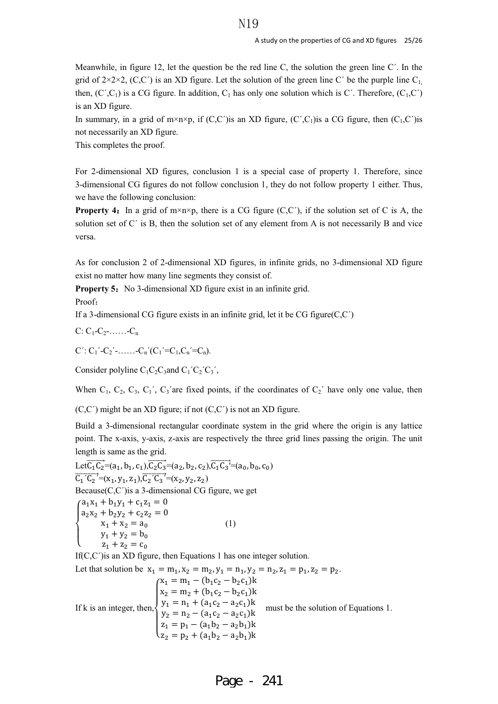Meanwhile, in figure 12, let the question be the red line C, the solution the green line C´. In the grid of  $2\times2\times2$ , (C,C<sup>'</sup>) is an XD figure. Let the solution of the green line C' be the purple line C<sub>1</sub>. then,  $(C', C_1)$  is a CG figure. In addition,  $C_1$  has only one solution which is C'. Therefore,  $(C_1, C')$ is an XD figure.

In summary, in a grid of m×n×p, if  $(C,C')$  is an XD figure,  $(C',C_1)$  is a CG figure, then  $(C_1,C')$  is not necessarily an XD figure.

This completes the proof.

For 2-dimensional XD figures, conclusion 1 is a special case of property 1. Therefore, since 3-dimensional CG figures do not follow conclusion 1, they do not follow property 1 either. Thus, we have the following conclusion:

**Property 4:** In a grid of m×n×p, there is a CG figure (C,C<sup>'</sup>), if the solution set of C is A, the solution set of C' is B, then the solution set of any element from A is not necessarily B and vice versa.

As for conclusion 2 of 2-dimensional XD figures, in infinite grids, no 3-dimensional XD figure exist no matter how many line segments they consist of.

**Property 5:** No 3-dimensional XD figure exist in an infinite grid.

Proof:

If a 3-dimensional CG figure exists in an infinite grid, let it be CG figure $(C, C')$ 

$$
C: C_1\text{-}C_2\text{-}\ldots\ldots\text{-}C_n
$$

 $C'$ :  $C_1'$ - $C_2'$ -……- $C_n'(C_1' = C_1, C_n' = C_n)$ .

Consider polyline  $C_1C_2C_3$  and  $C_1^{\prime}C_2^{\prime}C_3^{\prime}$ ,

When  $C_1$ ,  $C_2$ ,  $C_3$ ,  $C_1$ ',  $C_3$ 'are fixed points, if the coordinates of  $C_2$ ' have only one value, then

 $(C, C')$  might be an XD figure; if not  $(C, C')$  is not an XD figure.

Build a 3-dimensional rectangular coordinate system in the grid where the origin is any lattice point. The x-axis, y-axis, z-axis are respectively the three grid lines passing the origin. The unit length is same as the grid.

Let 
$$
\overline{C_1C_2} = (a_1, b_1, c_1), \overline{C_2C_3} = (a_2, b_2, c_2), \overline{C_1C_3} = (a_0, b_0, c_0)
$$
  
\n $\overline{C_1 C_2}^2 = (x_1, y_1, z_1), \overline{C_2 C_3}^2 = (x_2, y_2, z_2)$   
\nBecause(C,C') is a 3-dimensional CG figure, we get  
\n
$$
\begin{cases}\na_1x_1 + b_1y_1 + c_1z_1 = 0 \\
a_2x_2 + b_2y_2 + c_2z_2 = 0 \\
x_1 + x_2 = a_0\n\end{cases}
$$
\n(1)  
\n $y_1 + y_2 = b_0$   
\n $z_1 + z_2 = c_0$   
\nIf(C,C') is an ND figure, then Equations 1 has one integer solution.  
\nLet that solution be  $x_1 = m_1, x_2 = m_2, y_1 = n_1, y_2 = n_2, z_1 = p_1, z_2 = p_2$ .  
\n
$$
\begin{cases}\nx_1 = m_1 - (b_1c_2 - b_2c_1)k \\
x_2 = m_2 + (b_1c_2 - b_2c_1)k \\
y_1 = n_1 + (a_1c_2 - a_2c_1)k \\
y_2 = n_2 - (a_1c_2 - a_2c_1)k\n\end{cases}
$$
  
\nIf k is an integer, then,  
\n
$$
\begin{cases}\nx_1 = p_1 - (a_1b_2 - a_2b_1)k \\
y_2 = n_2 - (a_1c_2 - a_2b_1)k \\
z_1 = p_1 - (a_1b_2 - a_2b_1)k \\
z_2 = p_2 + (a_1b_2 - a_2b_1)k\n\end{cases}
$$
 must be the solution of Equations 1.